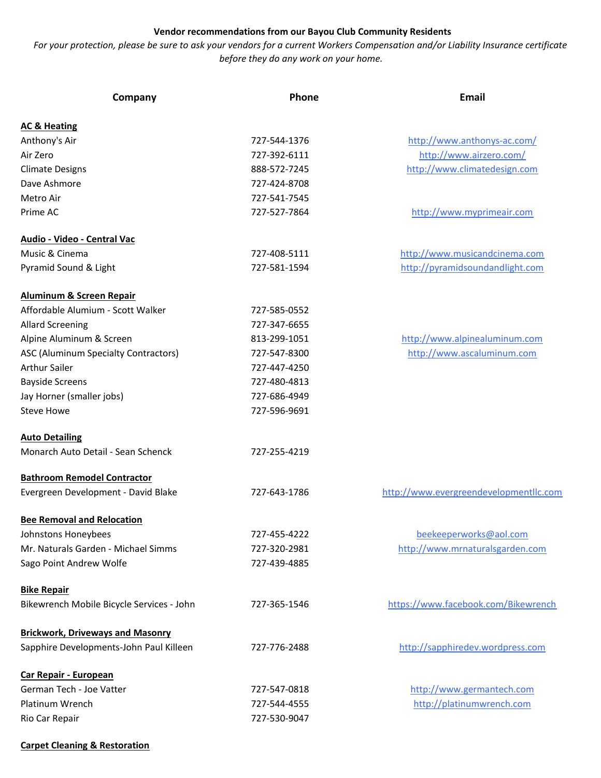## Vendor recommendations from our Bayou Club Community Residents

For your protection, please be sure to ask your vendors for a current Workers Compensation and/or Liability Insurance certificate before they do any work on your home.

| Company                                   | Phone        | <b>Email</b>                           |
|-------------------------------------------|--------------|----------------------------------------|
| <b>AC &amp; Heating</b>                   |              |                                        |
| Anthony's Air                             | 727-544-1376 | http://www.anthonys-ac.com/            |
| Air Zero                                  | 727-392-6111 | http://www.airzero.com/                |
| <b>Climate Designs</b>                    | 888-572-7245 | http://www.climatedesign.com           |
| Dave Ashmore                              | 727-424-8708 |                                        |
| Metro Air                                 | 727-541-7545 |                                        |
| Prime AC                                  | 727-527-7864 | http://www.myprimeair.com              |
| Audio - Video - Central Vac               |              |                                        |
| Music & Cinema                            | 727-408-5111 | http://www.musicandcinema.com          |
| Pyramid Sound & Light                     | 727-581-1594 | http://pyramidsoundandlight.com        |
| <b>Aluminum &amp; Screen Repair</b>       |              |                                        |
| Affordable Alumium - Scott Walker         | 727-585-0552 |                                        |
| <b>Allard Screening</b>                   | 727-347-6655 |                                        |
| Alpine Aluminum & Screen                  | 813-299-1051 | http://www.alpinealuminum.com          |
| ASC (Aluminum Specialty Contractors)      | 727-547-8300 | http://www.ascaluminum.com             |
| <b>Arthur Sailer</b>                      | 727-447-4250 |                                        |
| <b>Bayside Screens</b>                    | 727-480-4813 |                                        |
| Jay Horner (smaller jobs)                 | 727-686-4949 |                                        |
| <b>Steve Howe</b>                         | 727-596-9691 |                                        |
| <b>Auto Detailing</b>                     |              |                                        |
| Monarch Auto Detail - Sean Schenck        | 727-255-4219 |                                        |
| <b>Bathroom Remodel Contractor</b>        |              |                                        |
| Evergreen Development - David Blake       | 727-643-1786 | http://www.evergreendevelopmentllc.com |
| <b>Bee Removal and Relocation</b>         |              |                                        |
| Johnstons Honeybees                       | 727-455-4222 | beekeeperworks@aol.com                 |
| Mr. Naturals Garden - Michael Simms       | 727-320-2981 | http://www.mrnaturalsgarden.com        |
| Sago Point Andrew Wolfe                   | 727-439-4885 |                                        |
| <b>Bike Repair</b>                        |              |                                        |
| Bikewrench Mobile Bicycle Services - John | 727-365-1546 | https://www.facebook.com/Bikewrench    |
| <b>Brickwork, Driveways and Masonry</b>   |              |                                        |
| Sapphire Developments-John Paul Killeen   | 727-776-2488 | http://sapphiredev.wordpress.com       |
| Car Repair - European                     |              |                                        |
| German Tech - Joe Vatter                  | 727-547-0818 | http://www.germantech.com              |
| Platinum Wrench                           | 727-544-4555 | http://platinumwrench.com              |
| Rio Car Repair                            | 727-530-9047 |                                        |

## Carpet Cleaning & Restoration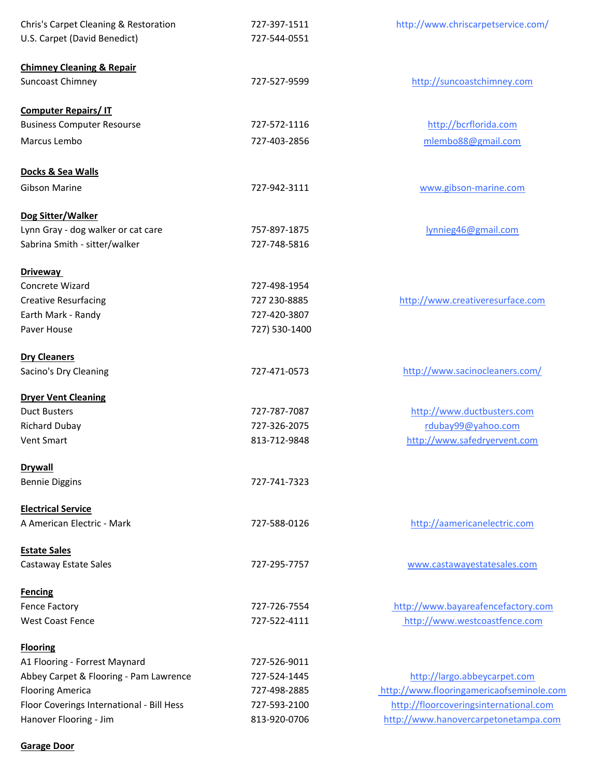| Chris's Carpet Cleaning & Restoration     | 727-397-1511  | http://www.chriscarpetservice.com/       |
|-------------------------------------------|---------------|------------------------------------------|
| U.S. Carpet (David Benedict)              | 727-544-0551  |                                          |
| <b>Chimney Cleaning &amp; Repair</b>      |               |                                          |
| Suncoast Chimney                          | 727-527-9599  | http://suncoastchimney.com               |
| <b>Computer Repairs/IT</b>                |               |                                          |
| <b>Business Computer Resourse</b>         | 727-572-1116  | http://bcrflorida.com                    |
| Marcus Lembo                              | 727-403-2856  | mlembo88@gmail.com                       |
| Docks & Sea Walls                         |               |                                          |
| <b>Gibson Marine</b>                      | 727-942-3111  | www.gibson-marine.com                    |
| Dog Sitter/Walker                         |               |                                          |
| Lynn Gray - dog walker or cat care        | 757-897-1875  | lynnieg46@gmail.com                      |
| Sabrina Smith - sitter/walker             | 727-748-5816  |                                          |
| <b>Driveway</b>                           |               |                                          |
| Concrete Wizard                           | 727-498-1954  |                                          |
| <b>Creative Resurfacing</b>               | 727 230-8885  | http://www.creativeresurface.com         |
| Earth Mark - Randy                        | 727-420-3807  |                                          |
| Paver House                               | 727) 530-1400 |                                          |
| <b>Dry Cleaners</b>                       |               |                                          |
| Sacino's Dry Cleaning                     | 727-471-0573  | http://www.sacinocleaners.com/           |
| <b>Dryer Vent Cleaning</b>                |               |                                          |
| <b>Duct Busters</b>                       | 727-787-7087  | http://www.ductbusters.com               |
| <b>Richard Dubay</b>                      | 727-326-2075  | rdubay99@yahoo.com                       |
| <b>Vent Smart</b>                         | 813-712-9848  | http://www.safedryervent.com             |
| <b>Drywall</b>                            |               |                                          |
| <b>Bennie Diggins</b>                     | 727-741-7323  |                                          |
| <b>Electrical Service</b>                 |               |                                          |
| A American Electric - Mark                | 727-588-0126  | http://aamericanelectric.com             |
| <b>Estate Sales</b>                       | 727-295-7757  |                                          |
| Castaway Estate Sales                     |               | www.castawayestatesales.com              |
| <b>Fencing</b>                            |               |                                          |
| <b>Fence Factory</b>                      | 727-726-7554  | http://www.bayareafencefactory.com       |
| <b>West Coast Fence</b>                   | 727-522-4111  | http://www.westcoastfence.com            |
| <b>Flooring</b>                           |               |                                          |
| A1 Flooring - Forrest Maynard             | 727-526-9011  |                                          |
| Abbey Carpet & Flooring - Pam Lawrence    | 727-524-1445  | http://largo.abbeycarpet.com             |
| <b>Flooring America</b>                   | 727-498-2885  | http://www.flooringamericaofseminole.com |
| Floor Coverings International - Bill Hess | 727-593-2100  | http://floorcoveringsinternational.com   |
| Hanover Flooring - Jim                    | 813-920-0706  | http://www.hanovercarpetonetampa.com     |

## Garage Door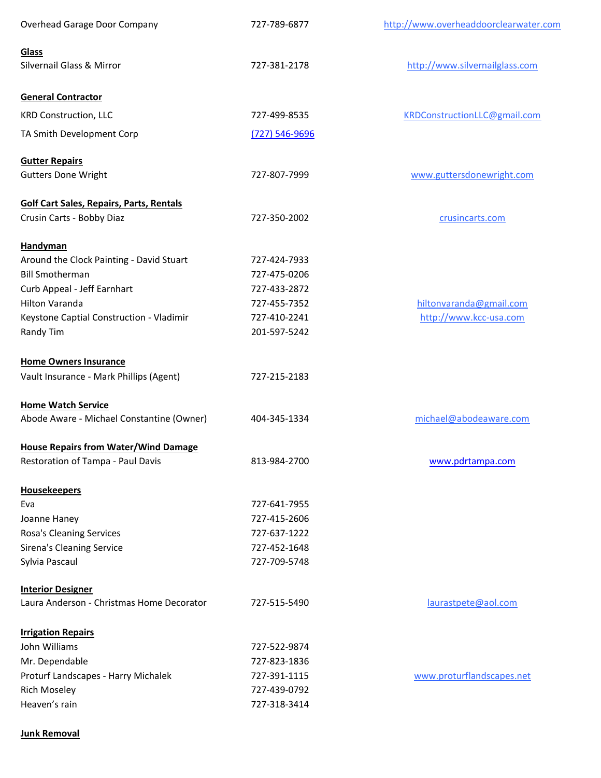| Overhead Garage Door Company                    | 727-789-6877       | http://www.overheaddoorclearwater.com |
|-------------------------------------------------|--------------------|---------------------------------------|
| Glass                                           |                    |                                       |
| Silvernail Glass & Mirror                       | 727-381-2178       | http://www.silvernailglass.com        |
| <b>General Contractor</b>                       |                    |                                       |
| <b>KRD Construction, LLC</b>                    | 727-499-8535       | KRDConstructionLLC@gmail.com          |
| TA Smith Development Corp                       | $(727) 546 - 9696$ |                                       |
| <b>Gutter Repairs</b>                           |                    |                                       |
| <b>Gutters Done Wright</b>                      | 727-807-7999       | www.guttersdonewright.com             |
| <b>Golf Cart Sales, Repairs, Parts, Rentals</b> |                    |                                       |
| Crusin Carts - Bobby Diaz                       | 727-350-2002       | crusincarts.com                       |
| <b>Handyman</b>                                 |                    |                                       |
| Around the Clock Painting - David Stuart        | 727-424-7933       |                                       |
| <b>Bill Smotherman</b>                          | 727-475-0206       |                                       |
| Curb Appeal - Jeff Earnhart                     | 727-433-2872       |                                       |
| Hilton Varanda                                  | 727-455-7352       | hiltonvaranda@gmail.com               |
| Keystone Captial Construction - Vladimir        | 727-410-2241       | http://www.kcc-usa.com                |
| Randy Tim                                       | 201-597-5242       |                                       |
| <b>Home Owners Insurance</b>                    |                    |                                       |
| Vault Insurance - Mark Phillips (Agent)         | 727-215-2183       |                                       |
| <b>Home Watch Service</b>                       |                    |                                       |
| Abode Aware - Michael Constantine (Owner)       | 404-345-1334       | michael@abodeaware.com                |
| <b>House Repairs from Water/Wind Damage</b>     |                    |                                       |
| Restoration of Tampa - Paul Davis               | 813-984-2700       | www.pdrtampa.com                      |
| <b>Housekeepers</b>                             |                    |                                       |
| Eva                                             | 727-641-7955       |                                       |
| Joanne Haney                                    | 727-415-2606       |                                       |
| Rosa's Cleaning Services                        | 727-637-1222       |                                       |
| <b>Sirena's Cleaning Service</b>                | 727-452-1648       |                                       |
| Sylvia Pascaul                                  | 727-709-5748       |                                       |
| <b>Interior Designer</b>                        |                    |                                       |
| Laura Anderson - Christmas Home Decorator       | 727-515-5490       | laurastpete@aol.com                   |
| <b>Irrigation Repairs</b>                       |                    |                                       |
| John Williams                                   | 727-522-9874       |                                       |
| Mr. Dependable                                  | 727-823-1836       |                                       |
| Proturf Landscapes - Harry Michalek             | 727-391-1115       | www.proturflandscapes.net             |
| <b>Rich Moseley</b>                             | 727-439-0792       |                                       |
| Heaven's rain                                   | 727-318-3414       |                                       |

## Junk Removal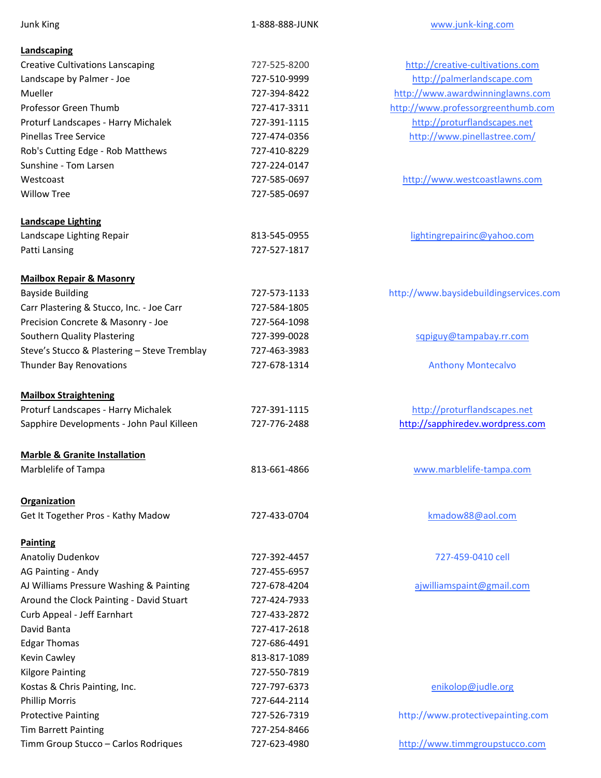| <b>Junk King</b>                                          | 1-888-888-JUNK | www.junk-king.com                      |
|-----------------------------------------------------------|----------------|----------------------------------------|
| Landscaping                                               |                |                                        |
| <b>Creative Cultivations Lanscaping</b>                   | 727-525-8200   | http://creative-cultivations.com       |
| Landscape by Palmer - Joe                                 | 727-510-9999   | http://palmerlandscape.com             |
| Mueller                                                   | 727-394-8422   | http://www.awardwinninglawns.com       |
| Professor Green Thumb                                     | 727-417-3311   | http://www.professorgreenthumb.com     |
| Proturf Landscapes - Harry Michalek                       | 727-391-1115   | http://proturflandscapes.net           |
| <b>Pinellas Tree Service</b>                              | 727-474-0356   | http://www.pinellastree.com/           |
| Rob's Cutting Edge - Rob Matthews                         | 727-410-8229   |                                        |
| Sunshine - Tom Larsen                                     | 727-224-0147   |                                        |
| Westcoast                                                 | 727-585-0697   | http://www.westcoastlawns.com          |
| <b>Willow Tree</b>                                        | 727-585-0697   |                                        |
| <b>Landscape Lighting</b>                                 |                |                                        |
| Landscape Lighting Repair                                 | 813-545-0955   | lightingrepairinc@yahoo.com            |
| Patti Lansing                                             | 727-527-1817   |                                        |
| <b>Mailbox Repair &amp; Masonry</b>                       |                |                                        |
| <b>Bayside Building</b>                                   | 727-573-1133   | http://www.baysidebuildingservices.com |
| Carr Plastering & Stucco, Inc. - Joe Carr                 | 727-584-1805   |                                        |
| Precision Concrete & Masonry - Joe                        | 727-564-1098   |                                        |
| Southern Quality Plastering                               | 727-399-0028   | sqpiguy@tampabay.rr.com                |
| Steve's Stucco & Plastering - Steve Tremblay              | 727-463-3983   |                                        |
| <b>Thunder Bay Renovations</b>                            | 727-678-1314   | <b>Anthony Montecalvo</b>              |
| <b>Mailbox Straightening</b>                              |                |                                        |
| Proturf Landscapes - Harry Michalek                       | 727-391-1115   | http://proturflandscapes.net           |
| Sapphire Developments - John Paul Killeen                 | 727-776-2488   | http://sapphiredev.wordpress.com       |
| <b>Marble &amp; Granite Installation</b>                  |                |                                        |
| Marblelife of Tampa                                       | 813-661-4866   | www.marblelife-tampa.com               |
|                                                           |                |                                        |
| <b>Organization</b><br>Get It Together Pros - Kathy Madow | 727-433-0704   | kmadow88@aol.com                       |
|                                                           |                |                                        |
| <b>Painting</b>                                           |                |                                        |
| Anatoliy Dudenkov                                         | 727-392-4457   | 727-459-0410 cell                      |
| AG Painting - Andy                                        | 727-455-6957   |                                        |
| AJ Williams Pressure Washing & Painting                   | 727-678-4204   | ajwilliamspaint@gmail.com              |
| Around the Clock Painting - David Stuart                  | 727-424-7933   |                                        |
| Curb Appeal - Jeff Earnhart                               | 727-433-2872   |                                        |
| David Banta                                               | 727-417-2618   |                                        |
| <b>Edgar Thomas</b>                                       | 727-686-4491   |                                        |
| Kevin Cawley                                              | 813-817-1089   |                                        |
| <b>Kilgore Painting</b>                                   | 727-550-7819   |                                        |
| Kostas & Chris Painting, Inc.                             | 727-797-6373   | enikolop@judle.org                     |
| <b>Phillip Morris</b>                                     | 727-644-2114   |                                        |
| <b>Protective Painting</b>                                | 727-526-7319   | http://www.protectivepainting.com      |
| <b>Tim Barrett Painting</b>                               | 727-254-8466   |                                        |
| Timm Group Stucco - Carlos Rodriques                      | 727-623-4980   | http://www.timmgroupstucco.com         |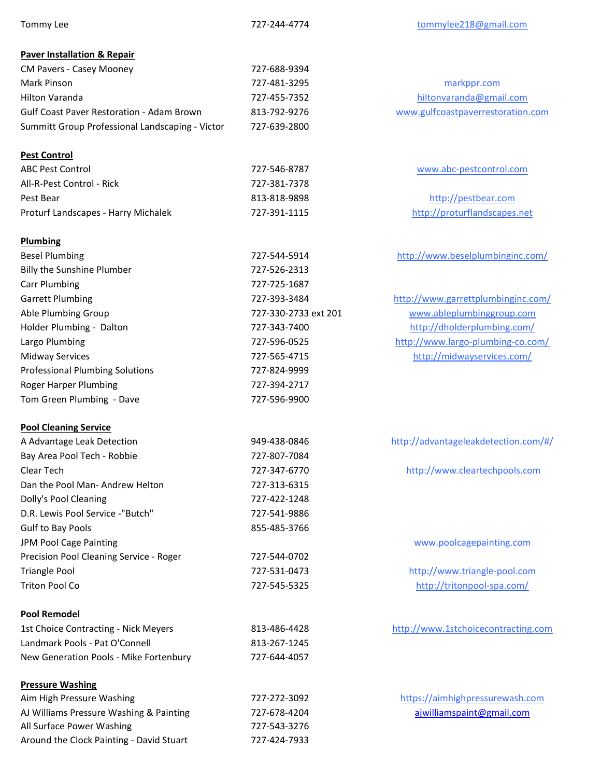| Tommy Lee                                        | 727-244-4774         | tommylee218@gmail.com                |
|--------------------------------------------------|----------------------|--------------------------------------|
| <b>Paver Installation &amp; Repair</b>           |                      |                                      |
| CM Pavers - Casey Mooney                         | 727-688-9394         |                                      |
| Mark Pinson                                      | 727-481-3295         | markppr.com                          |
| Hilton Varanda                                   | 727-455-7352         | hiltonvaranda@gmail.com              |
| <b>Gulf Coast Paver Restoration - Adam Brown</b> | 813-792-9276         | www.gulfcoastpaverrestoration.com    |
| Summitt Group Professional Landscaping - Victor  | 727-639-2800         |                                      |
| <b>Pest Control</b>                              |                      |                                      |
| <b>ABC Pest Control</b>                          | 727-546-8787         | www.abc-pestcontrol.com              |
| All-R-Pest Control - Rick                        | 727-381-7378         |                                      |
| Pest Bear                                        | 813-818-9898         | http://pestbear.com                  |
| Proturf Landscapes - Harry Michalek              | 727-391-1115         | http://proturflandscapes.net         |
| <b>Plumbing</b>                                  |                      |                                      |
| <b>Besel Plumbing</b>                            | 727-544-5914         | http://www.beselplumbinginc.com/     |
| <b>Billy the Sunshine Plumber</b>                | 727-526-2313         |                                      |
| <b>Carr Plumbing</b>                             | 727-725-1687         |                                      |
| <b>Garrett Plumbing</b>                          | 727-393-3484         | http://www.garrettplumbinginc.com/   |
| Able Plumbing Group                              | 727-330-2733 ext 201 | www.ableplumbinggroup.com            |
| Holder Plumbing - Dalton                         | 727-343-7400         | http://dholderplumbing.com/          |
| Largo Plumbing                                   | 727-596-0525         | http://www.largo-plumbing-co.com/    |
| <b>Midway Services</b>                           | 727-565-4715         | http://midwayservices.com/           |
| <b>Professional Plumbing Solutions</b>           | 727-824-9999         |                                      |
| Roger Harper Plumbing                            | 727-394-2717         |                                      |
| Tom Green Plumbing - Dave                        | 727-596-9900         |                                      |
| <b>Pool Cleaning Service</b>                     |                      |                                      |
| A Advantage Leak Detection                       | 949-438-0846         | http://advantageleakdetection.com/#/ |
| Bay Area Pool Tech - Robbie                      | 727-807-7084         |                                      |
| Clear Tech                                       | 727-347-6770         | http://www.cleartechpools.com        |
| Dan the Pool Man- Andrew Helton                  | 727-313-6315         |                                      |
| Dolly's Pool Cleaning                            | 727-422-1248         |                                      |
| D.R. Lewis Pool Service -"Butch"                 | 727-541-9886         |                                      |
| Gulf to Bay Pools                                | 855-485-3766         |                                      |
| JPM Pool Cage Painting                           |                      | www.poolcagepainting.com             |
| Precision Pool Cleaning Service - Roger          | 727-544-0702         |                                      |
| <b>Triangle Pool</b>                             | 727-531-0473         | http://www.triangle-pool.com         |
| <b>Triton Pool Co</b>                            | 727-545-5325         | http://tritonpool-spa.com/           |
| <b>Pool Remodel</b>                              |                      |                                      |
| 1st Choice Contracting - Nick Meyers             | 813-486-4428         | http://www.1stchoicecontracting.com  |
| Landmark Pools - Pat O'Connell                   | 813-267-1245         |                                      |
| New Generation Pools - Mike Fortenbury           | 727-644-4057         |                                      |
| <b>Pressure Washing</b>                          |                      |                                      |
| Aim High Pressure Washing                        | 727-272-3092         | https://aimhighpressurewash.com      |
| AJ Williams Pressure Washing & Painting          | 727-678-4204         | ajwilliamspaint@gmail.com            |
| All Surface Power Washing                        | 727-543-3276         |                                      |
| Around the Clock Painting - David Stuart         | 727-424-7933         |                                      |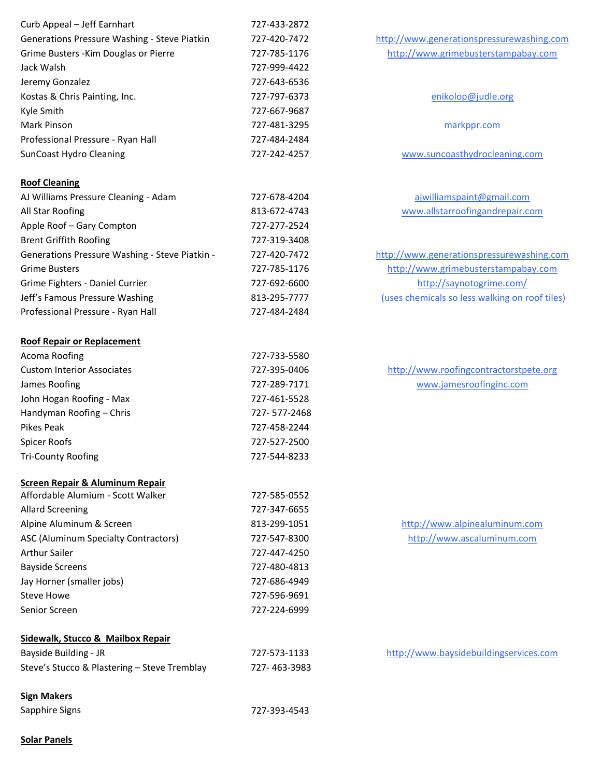| Curb Appeal - Jeff Earnhart                    | 727-433-2872 |                                |
|------------------------------------------------|--------------|--------------------------------|
| Generations Pressure Washing - Steve Piatkin   | 727-420-7472 | http://www.generationspressu   |
| Grime Busters - Kim Douglas or Pierre          | 727-785-1176 | http://www.grimebustersta      |
| Jack Walsh                                     | 727-999-4422 |                                |
| Jeremy Gonzalez                                | 727-643-6536 |                                |
| Kostas & Chris Painting, Inc.                  | 727-797-6373 | enikolop@judle.c               |
| Kyle Smith                                     | 727-667-9687 |                                |
| Mark Pinson                                    | 727-481-3295 | markppr.com                    |
| Professional Pressure - Ryan Hall              | 727-484-2484 |                                |
| <b>SunCoast Hydro Cleaning</b>                 | 727-242-4257 | www.suncoasthydroclea          |
| <b>Roof Cleaning</b>                           |              |                                |
| AJ Williams Pressure Cleaning - Adam           | 727-678-4204 | ajwilliamspaint@gma            |
| All Star Roofing                               | 813-672-4743 | www.allstarroofingandre        |
| Apple Roof - Gary Compton                      | 727-277-2524 |                                |
| <b>Brent Griffith Roofing</b>                  | 727-319-3408 |                                |
| Generations Pressure Washing - Steve Piatkin - | 727-420-7472 | http://www.generationspressu   |
| <b>Grime Busters</b>                           | 727-785-1176 | http://www.grimebustersta      |
| Grime Fighters - Daniel Currier                | 727-692-6600 | http://saynotogrime            |
| Jeff's Famous Pressure Washing                 | 813-295-7777 | (uses chemicals so less walkir |
| Professional Pressure - Ryan Hall              | 727-484-2484 |                                |
| <b>Roof Repair or Replacement</b>              |              |                                |
| Acoma Roofing                                  | 727-733-5580 |                                |
| <b>Custom Interior Associates</b>              | 727-395-0406 | http://www.roofingcontrac      |
| James Roofing                                  | 727-289-7171 | www.jamesroofingin             |
| John Hogan Roofing - Max                       | 727-461-5528 |                                |
| Handyman Roofing - Chris                       | 727-577-2468 |                                |
| <b>Pikes Peak</b>                              | 727-458-2244 |                                |
| <b>Spicer Roofs</b>                            | 727-527-2500 |                                |
| <b>Tri-County Roofing</b>                      | 727-544-8233 |                                |
| <b>Screen Repair &amp; Aluminum Repair</b>     |              |                                |
| Affordable Alumium - Scott Walker              | 727-585-0552 |                                |
| <b>Allard Screening</b>                        | 727-347-6655 |                                |
| Alpine Aluminum & Screen                       | 813-299-1051 | http://www.alpinealumi         |
| ASC (Aluminum Specialty Contractors)           | 727-547-8300 | http://www.ascalumin           |
| <b>Arthur Sailer</b>                           | 727-447-4250 |                                |
| <b>Bayside Screens</b>                         | 727-480-4813 |                                |
| Jay Horner (smaller jobs)                      | 727-686-4949 |                                |
| <b>Steve Howe</b>                              | 727-596-9691 |                                |
| Senior Screen                                  | 727-224-6999 |                                |
| Sidewalk, Stucco & Mailbox Repair              |              |                                |
| Bayside Building - JR                          | 727-573-1133 | http://www.baysidebuilding     |
| Steve's Stucco & Plastering - Steve Tremblay   | 727-463-3983 |                                |
| <b>Sign Makers</b>                             |              |                                |
| Sapphire Signs                                 | 727-393-4543 |                                |
|                                                |              |                                |

http://www.generationspressurewashing.com http://www.grimebusterstampabay.com

enikolop@judle.org

www.suncoasthydrocleaning.com

aj williams paint@gmail.com www.allstarroofing and repair.com

http://www.generationspressurewashing.com http://www.grimebusterstampabay.com http://saynotogrime.com/ (uses chemicals so less walking on roof tiles)

http://www.roofingcontractorstpete.org www.jamesroofinginc.com

http://www.alpinealuminum.com http://www.ascaluminum.com

http://www.baysidebuildingservices.com

Solar Panels